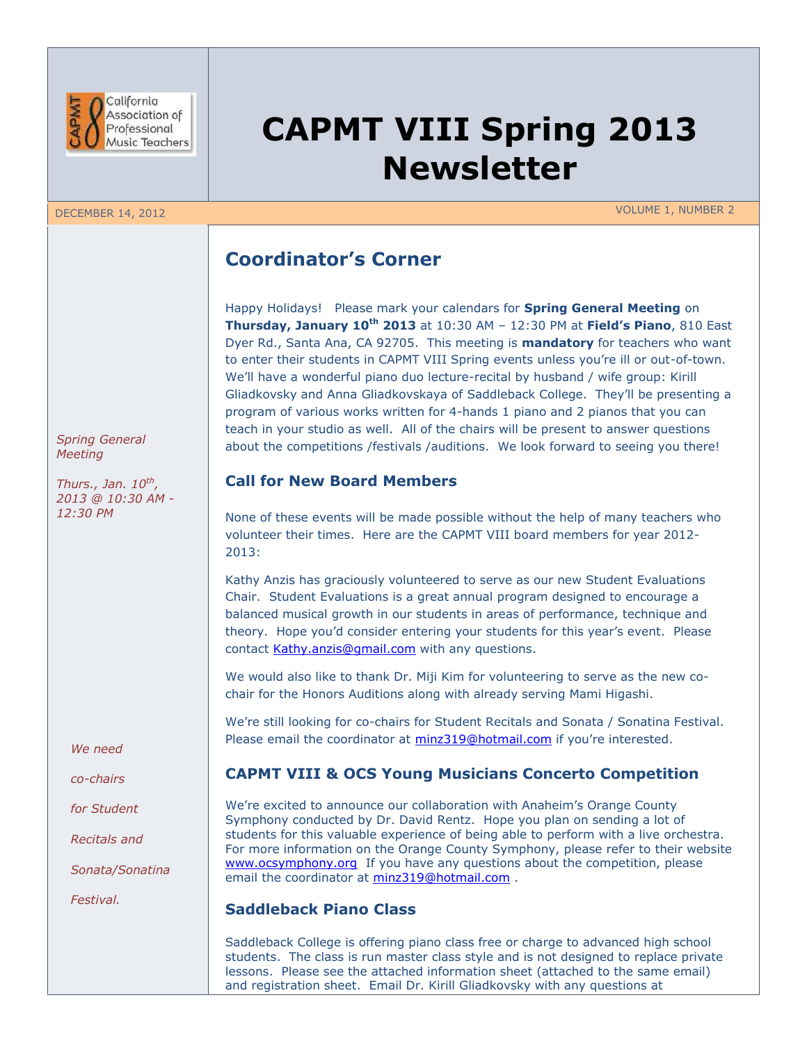

### DECEMBER 14, 2012 VOLUME 1, NUMBER 2

**CAPMT VIII Spring 2013 Newsletter**

# **Coordinator's Corner**

Happy Holidays! Please mark your calendars for **Spring General Meeting** on **Thursday, January 10th 2013** at 10:30 AM – 12:30 PM at **Field's Piano**, 810 East Dyer Rd., Santa Ana, CA 92705. This meeting is **mandatory** for teachers who want to enter their students in CAPMT VIII Spring events unless you're ill or out-of-town. We'll have a wonderful piano duo lecture-recital by husband / wife group: Kirill Gliadkovsky and Anna Gliadkovskaya of Saddleback College. They'll be presenting a program of various works written for 4-hands 1 piano and 2 pianos that you can teach in your studio as well. All of the chairs will be present to answer questions about the competitions /festivals /auditions. We look forward to seeing you there!

## **Call for New Board Members**

None of these events will be made possible without the help of many teachers who volunteer their times. Here are the CAPMT VIII board members for year 2012- 2013:

Kathy Anzis has graciously volunteered to serve as our new Student Evaluations Chair. Student Evaluations is a great annual program designed to encourage a balanced musical growth in our students in areas of performance, technique and theory. Hope you'd consider entering your students for this year's event. Please contact [Kathy.anzis@gmail.com](mailto:Kathy.anzis@gmail.com) with any questions.

We would also like to thank Dr. Miji Kim for volunteering to serve as the new cochair for the Honors Auditions along with already serving Mami Higashi.

We're still looking for co-chairs for Student Recitals and Sonata / Sonatina Festival. Please email the coordinator at [minz319@hotmail.com](mailto:minz319@hotmail.com) if you're interested.

# **CAPMT VIII & OCS Young Musicians Concerto Competition**

We're excited to announce our collaboration with Anaheim's Orange County Symphony conducted by Dr. David Rentz. Hope you plan on sending a lot of students for this valuable experience of being able to perform with a live orchestra. For more information on the Orange County Symphony, please refer to their website [www.ocsymphony.org](http://www.ocsymphony.org/) If you have any questions about the competition, please email the coordinator at [minz319@hotmail.com](mailto:minz319@hotmail.com) .

### **Saddleback Piano Class**

Saddleback College is offering piano class free or charge to advanced high school students. The class is run master class style and is not designed to replace private lessons. Please see the attached information sheet (attached to the same email) and registration sheet. Email Dr. Kirill Gliadkovsky with any questions at

*Spring General Meeting*

*Thurs., Jan. 10th , 2013 @ 10:30 AM - 12:30 PM*

*We need* 

*co-chairs*

*for Student*

*Recitals and*

*Sonata/Sonatina* 

*Festival.*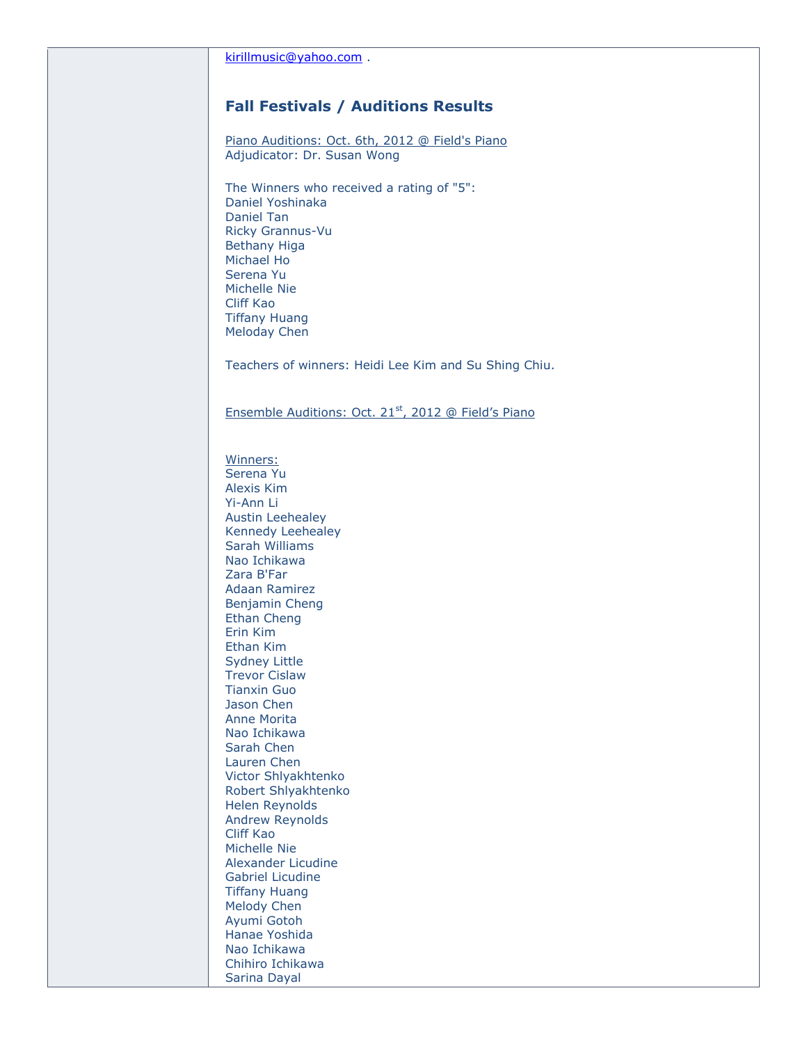# **Fall Festivals / Auditions Results**

Piano Auditions: Oct. 6th, 2012 @ Field's Piano Adjudicator: Dr. Susan Wong

The Winners who received a rating of "5": Daniel Yoshinaka Daniel Tan Ricky Grannus-Vu Bethany Higa Michael Ho Serena Yu Michelle Nie Cliff Kao Tiffany Huang Meloday Chen

Teachers of winners: Heidi Lee Kim and Su Shing Chiu.

#### Ensemble Auditions: Oct. 21<sup>st</sup>, 2012 @ Field's Piano

Winners: Serena Yu Alexis Kim Yi-Ann Li Austin Leehealey Kennedy Leehealey Sarah Williams Nao Ichikawa Zara B'Far Adaan Ramirez Benjamin Cheng Ethan Cheng Erin Kim Ethan Kim Sydney Little Trevor Cislaw Tianxin Guo Jason Chen Anne Morita Nao Ichikawa Sarah Chen Lauren Chen Victor Shlyakhtenko Robert Shlyakhtenko Helen Reynolds Andrew Reynolds Cliff Kao Michelle Nie Alexander Licudine Gabriel Licudine Tiffany Huang Melody Chen Ayumi Gotoh Hanae Yoshida Nao Ichikawa Chihiro Ichikawa Sarina Dayal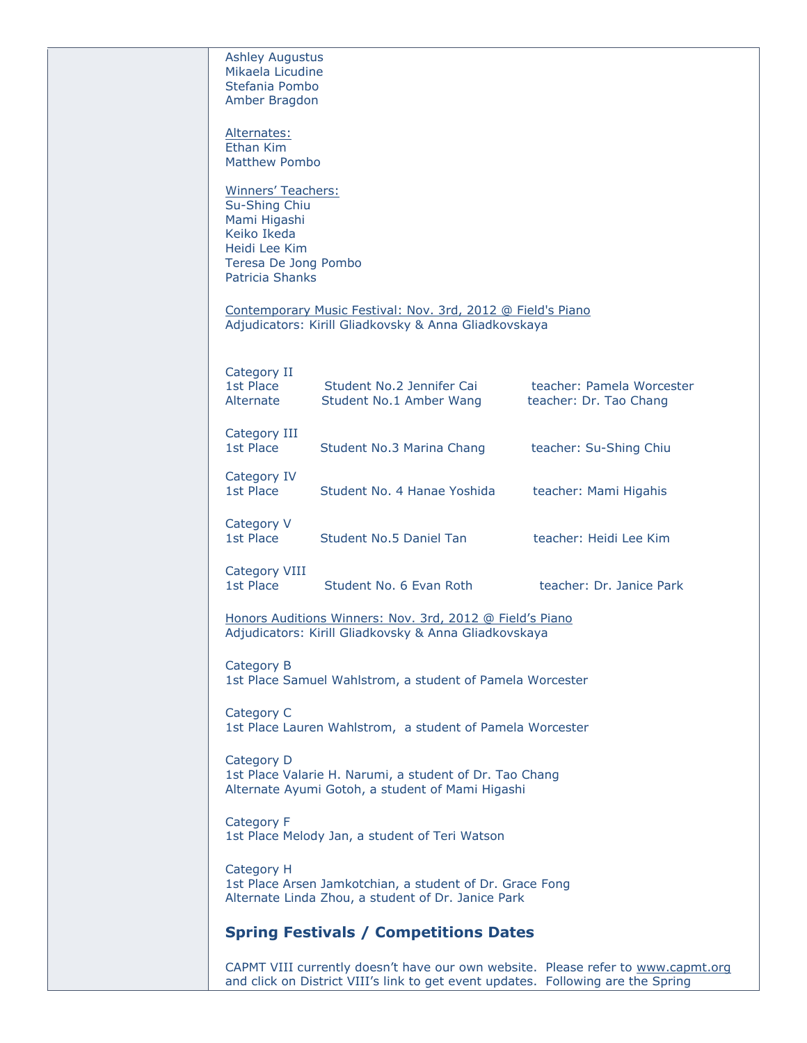| <b>Ashley Augustus</b><br>Mikaela Licudine |                                                                                  |                                                                                  |
|--------------------------------------------|----------------------------------------------------------------------------------|----------------------------------------------------------------------------------|
| Stefania Pombo                             |                                                                                  |                                                                                  |
| Amber Bragdon                              |                                                                                  |                                                                                  |
| Alternates:                                |                                                                                  |                                                                                  |
| Ethan Kim                                  |                                                                                  |                                                                                  |
| Matthew Pombo                              |                                                                                  |                                                                                  |
| Winners' Teachers:                         |                                                                                  |                                                                                  |
| Su-Shing Chiu                              |                                                                                  |                                                                                  |
| Mami Higashi                               |                                                                                  |                                                                                  |
| Keiko Ikeda<br>Heidi Lee Kim               |                                                                                  |                                                                                  |
| Teresa De Jong Pombo                       |                                                                                  |                                                                                  |
| <b>Patricia Shanks</b>                     |                                                                                  |                                                                                  |
|                                            | Contemporary Music Festival: Nov. 3rd, 2012 @ Field's Piano                      |                                                                                  |
|                                            | Adjudicators: Kirill Gliadkovsky & Anna Gliadkovskaya                            |                                                                                  |
|                                            |                                                                                  |                                                                                  |
| Category II                                |                                                                                  |                                                                                  |
| 1st Place                                  | Student No.2 Jennifer Cai                                                        | teacher: Pamela Worcester                                                        |
| Alternate                                  | Student No.1 Amber Wang                                                          | teacher: Dr. Tao Chang                                                           |
| Category III                               |                                                                                  |                                                                                  |
| 1st Place                                  | Student No.3 Marina Chang                                                        | teacher: Su-Shing Chiu                                                           |
| Category IV                                |                                                                                  |                                                                                  |
| 1st Place                                  | Student No. 4 Hanae Yoshida                                                      | teacher: Mami Higahis                                                            |
|                                            |                                                                                  |                                                                                  |
| Category V<br>1st Place                    | Student No.5 Daniel Tan                                                          | teacher: Heidi Lee Kim                                                           |
|                                            |                                                                                  |                                                                                  |
| Category VIII                              |                                                                                  |                                                                                  |
| 1st Place                                  | Student No. 6 Evan Roth                                                          | teacher: Dr. Janice Park                                                         |
|                                            | Honors Auditions Winners: Nov. 3rd, 2012 @ Field's Piano                         |                                                                                  |
|                                            | Adjudicators: Kirill Gliadkovsky & Anna Gliadkovskaya                            |                                                                                  |
| Category B                                 |                                                                                  |                                                                                  |
|                                            | 1st Place Samuel Wahlstrom, a student of Pamela Worcester                        |                                                                                  |
|                                            |                                                                                  |                                                                                  |
| Category C                                 | 1st Place Lauren Wahlstrom, a student of Pamela Worcester                        |                                                                                  |
|                                            |                                                                                  |                                                                                  |
| Category D                                 |                                                                                  |                                                                                  |
|                                            | 1st Place Valarie H. Narumi, a student of Dr. Tao Chang                          |                                                                                  |
|                                            | Alternate Ayumi Gotoh, a student of Mami Higashi                                 |                                                                                  |
| Category F                                 |                                                                                  |                                                                                  |
|                                            | 1st Place Melody Jan, a student of Teri Watson                                   |                                                                                  |
| Category H                                 |                                                                                  |                                                                                  |
|                                            | 1st Place Arsen Jamkotchian, a student of Dr. Grace Fong                         |                                                                                  |
|                                            | Alternate Linda Zhou, a student of Dr. Janice Park                               |                                                                                  |
|                                            | <b>Spring Festivals / Competitions Dates</b>                                     |                                                                                  |
|                                            |                                                                                  |                                                                                  |
|                                            |                                                                                  | CAPMT VIII currently doesn't have our own website. Please refer to www.capmt.org |
|                                            | and click on District VIII's link to get event updates. Following are the Spring |                                                                                  |